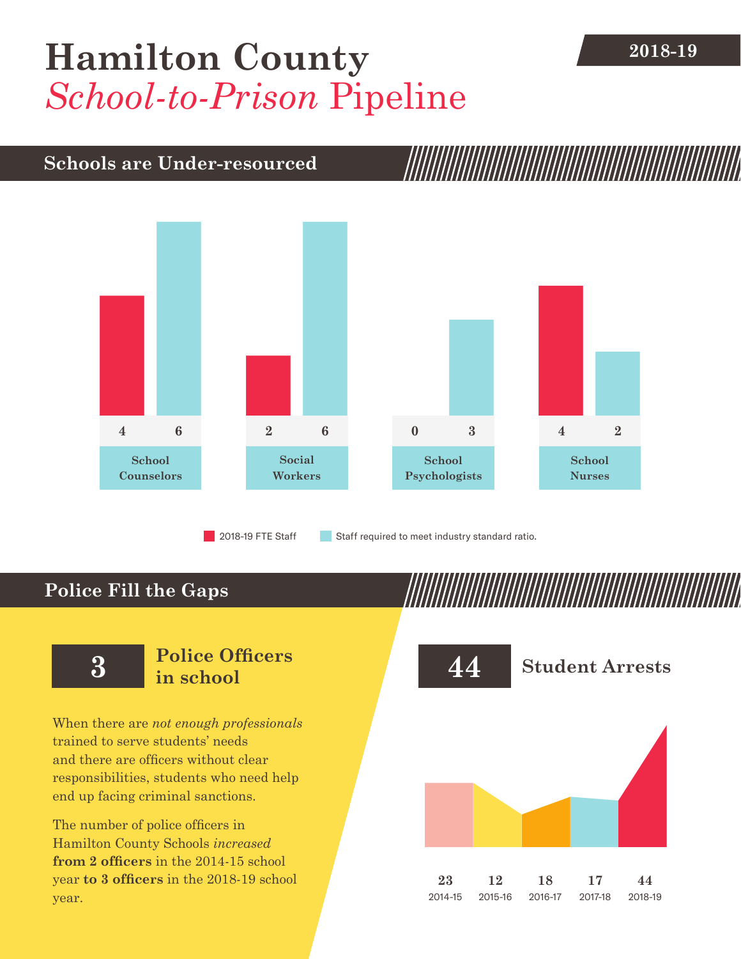# [Hamilton County](DBF_County) **2018-19** *School-to-Prison* Pipeline

## **Schools are Under-resourced**



2018-19 FTE Staff **Staff required to meet industry standard ratio.** 

## **Police Fill the Gaps**



When there are *not enough professionals* trained to serve students' needs and there are officers without clear responsibilities, students who need help end up facing criminal sanctions.

The number of police officers in [Hamilton County](DBF_County) Schools *increased* **from [2](DBF_PO1415) officers** in the 2014-15 school year **to [3](DBF_PO) officers** in the 2018-19 school year.